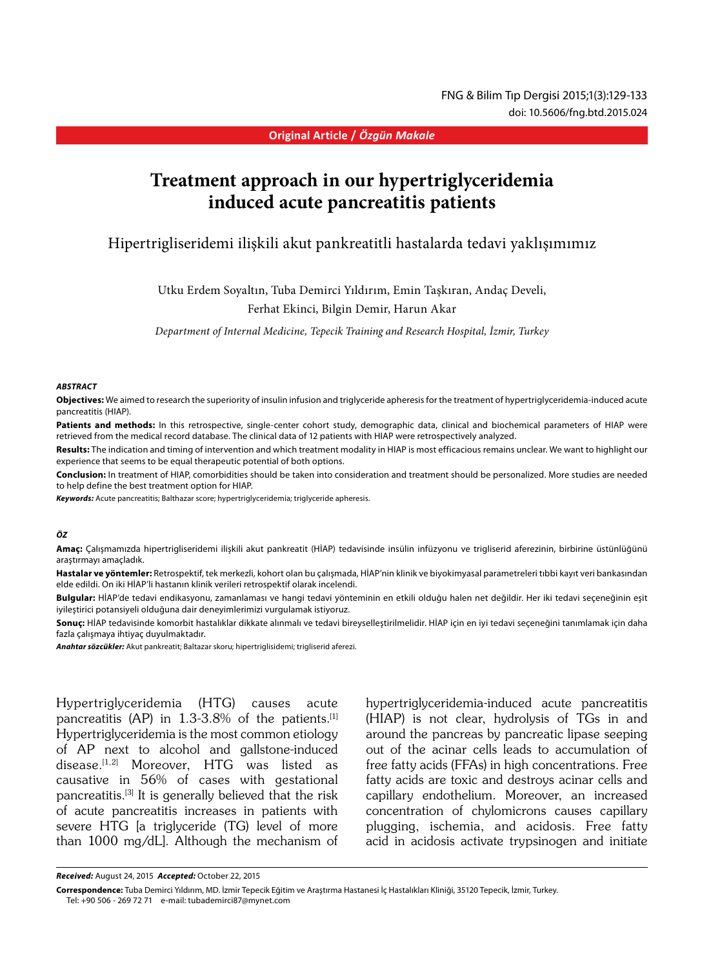#### **Original Article /** *Özgün Makale*

# **Treatment approach in our hypertriglyceridemia induced acute pancreatitis patients**

# Hipertrigliseridemi ilişkili akut pankreatitli hastalarda tedavi yaklışımımız

Utku Erdem Soyaltın, Tuba Demirci Yıldırım, Emin Taşkıran, Andaç Develi, Ferhat Ekinci, Bilgin Demir, Harun Akar

*Department of Internal Medicine, Tepecik Training and Research Hospital, İzmir, Turkey*

#### *ABSTRACT*

**Objectives:** We aimed to research the superiority of insulin infusion and triglyceride apheresis for the treatment of hypertriglyceridemia-induced acute pancreatitis (HIAP).

Patients and methods: In this retrospective, single-center cohort study, demographic data, clinical and biochemical parameters of HIAP were retrieved from the medical record database. The clinical data of 12 patients with HIAP were retrospectively analyzed.

**Results:** The indication and timing of intervention and which treatment modality in HIAP is most efficacious remains unclear. We want to highlight our experience that seems to be equal therapeutic potential of both options.

**Conclusion:** In treatment of HIAP, comorbidities should be taken into consideration and treatment should be personalized. More studies are needed to help define the best treatment option for HIAP.

*Keywords:* Acute pancreatitis; Balthazar score; hypertriglyceridemia; triglyceride apheresis.

#### *ÖZ*

**Amaç:** Çalışmamızda hipertrigliseridemi ilişkili akut pankreatit (HİAP) tedavisinde insülin infüzyonu ve trigliserid aferezinin, birbirine üstünlüğünü araştırmayı amaçladık.

**Hastalar ve yöntemler:** Retrospektif, tek merkezli, kohort olan bu çalışmada, HİAP'nin klinik ve biyokimyasal parametreleri tıbbi kayıt veri bankasından elde edildi. On iki HİAP'li hastanın klinik verileri retrospektif olarak incelendi.

**Bulgular:** HİAP'de tedavi endikasyonu, zamanlaması ve hangi tedavi yönteminin en etkili olduğu halen net değildir. Her iki tedavi seçeneğinin eşit iyileştirici potansiyeli olduğuna dair deneyimlerimizi vurgulamak istiyoruz.

**Sonuç:** HİAP tedavisinde komorbit hastalıklar dikkate alınmalı ve tedavi bireyselleştirilmelidir. HİAP için en iyi tedavi seçeneğini tanımlamak için daha fazla çalışmaya ihtiyaç duyulmaktadır.

*Anahtar sözcükler:* Akut pankreatit; Baltazar skoru; hipertriglisidemi; trigliserid aferezi.

Hypertriglyceridemia (HTG) causes acute pancreatitis (AP) in 1.3-3.8% of the patients.<sup>[1]</sup> Hypertriglyceridemia is the most common etiology of AP next to alcohol and gallstone-induced disease.<sup>[1,2]</sup> Moreover, HTG was listed as causative in 56% of cases with gestational pancreatitis.[3] It is generally believed that the risk of acute pancreatitis increases in patients with severe HTG [a triglyceride (TG) level of more than 1000 mg/dL]. Although the mechanism of

hypertriglyceridemia-induced acute pancreatitis (HIAP) is not clear, hydrolysis of TGs in and around the pancreas by pancreatic lipase seeping out of the acinar cells leads to accumulation of free fatty acids (FFAs) in high concentrations. Free fatty acids are toxic and destroys acinar cells and capillary endothelium. Moreover, an increased concentration of chylomicrons causes capillary plugging, ischemia, and acidosis. Free fatty acid in acidosis activate trypsinogen and initiate

**Correspondence:** Tuba Demirci Yıldırım, MD. İzmir Tepecik Eğitim ve Araştırma Hastanesi İç Hastalıkları Kliniği, 35120 Tepecik, İzmir, Turkey. Tel: +90 506 - 269 72 71 e-mail: tubademirci87@mynet.com

*Received:* August 24, 2015 *Accepted:* October 22, 2015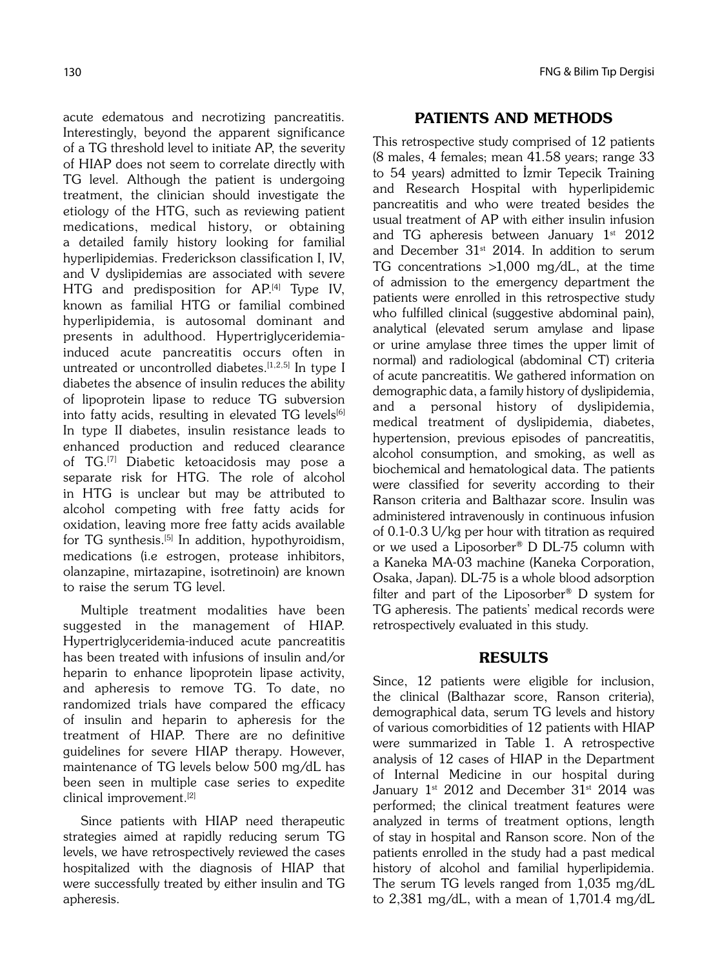acute edematous and necrotizing pancreatitis. Interestingly, beyond the apparent significance of a TG threshold level to initiate AP, the severity of HIAP does not seem to correlate directly with TG level. Although the patient is undergoing treatment, the clinician should investigate the etiology of the HTG, such as reviewing patient medications, medical history, or obtaining a detailed family history looking for familial hyperlipidemias. Frederickson classification I, IV, and V dyslipidemias are associated with severe HTG and predisposition for AP.<sup>[4]</sup> Type IV, known as familial HTG or familial combined hyperlipidemia, is autosomal dominant and presents in adulthood. Hypertriglyceridemiainduced acute pancreatitis occurs often in untreated or uncontrolled diabetes.<sup>[1,2,5]</sup> In type I diabetes the absence of insulin reduces the ability of lipoprotein lipase to reduce TG subversion into fatty acids, resulting in elevated TG levels<sup>[6]</sup> In type II diabetes, insulin resistance leads to enhanced production and reduced clearance of TG.[7] Diabetic ketoacidosis may pose a separate risk for HTG. The role of alcohol in HTG is unclear but may be attributed to alcohol competing with free fatty acids for oxidation, leaving more free fatty acids available for TG synthesis.<sup>[5]</sup> In addition, hypothyroidism, medications (i.e estrogen, protease inhibitors, olanzapine, mirtazapine, isotretinoin) are known to raise the serum TG level.

Multiple treatment modalities have been suggested in the management of HIAP. Hypertriglyceridemia-induced acute pancreatitis has been treated with infusions of insulin and/or heparin to enhance lipoprotein lipase activity, and apheresis to remove TG. To date, no randomized trials have compared the efficacy of insulin and heparin to apheresis for the treatment of HIAP. There are no definitive guidelines for severe HIAP therapy. However, maintenance of TG levels below 500 mg/dL has been seen in multiple case series to expedite clinical improvement.[2]

Since patients with HIAP need therapeutic strategies aimed at rapidly reducing serum TG levels, we have retrospectively reviewed the cases hospitalized with the diagnosis of HIAP that were successfully treated by either insulin and TG apheresis.

### 130 FNG & Bilim Tıp Dergisi

# PATIENTS AND METHODS

This retrospective study comprised of 12 patients (8 males, 4 females; mean 41.58 years; range 33 to 54 years) admitted to Izmir Tepecik Training and Research Hospital with hyperlipidemic pancreatitis and who were treated besides the usual treatment of AP with either insulin infusion and TG apheresis between January  $1<sup>st</sup> 2012$ and December  $31^{st}$  2014. In addition to serum TG concentrations >1,000 mg/dL, at the time of admission to the emergency department the patients were enrolled in this retrospective study who fulfilled clinical (suggestive abdominal pain), analytical (elevated serum amylase and lipase or urine amylase three times the upper limit of normal) and radiological (abdominal CT) criteria of acute pancreatitis. We gathered information on demographic data, a family history of dyslipidemia, and a personal history of dyslipidemia, medical treatment of dyslipidemia, diabetes, hypertension, previous episodes of pancreatitis, alcohol consumption, and smoking, as well as biochemical and hematological data. The patients were classified for severity according to their Ranson criteria and Balthazar score. Insulin was administered intravenously in continuous infusion of 0.1-0.3 U/kg per hour with titration as required or we used a Liposorber® D DL-75 column with a Kaneka MA-03 machine (Kaneka Corporation, Osaka, Japan). DL-75 is a whole blood adsorption filter and part of the Liposorber® D system for TG apheresis. The patients' medical records were retrospectively evaluated in this study.

# RESULTS

Since, 12 patients were eligible for inclusion, the clinical (Balthazar score, Ranson criteria), demographical data, serum TG levels and history of various comorbidities of 12 patients with HIAP were summarized in Table 1. A retrospective analysis of 12 cases of HIAP in the Department of Internal Medicine in our hospital during January  $1^{st}$  2012 and December 31 $^{st}$  2014 was performed; the clinical treatment features were analyzed in terms of treatment options, length of stay in hospital and Ranson score. Non of the patients enrolled in the study had a past medical history of alcohol and familial hyperlipidemia. The serum TG levels ranged from 1,035 mg/dL to 2,381 mg/dL, with a mean of 1,701.4 mg/dL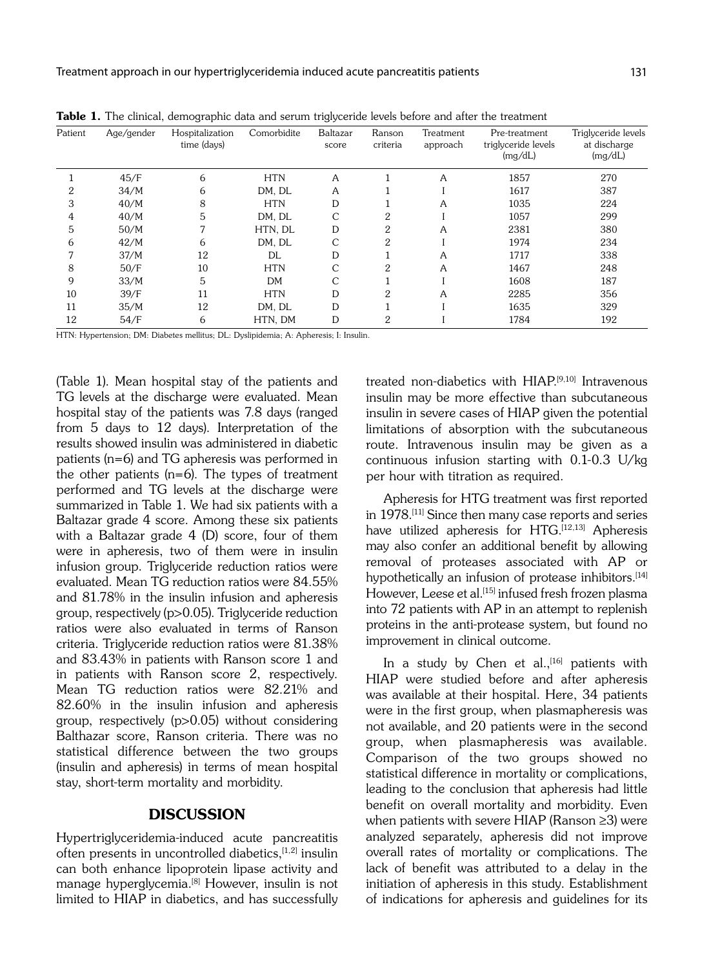| Patient | Age/gender | Hospitalization<br>time (days) | Comorbidite | Baltazar<br>score | Ranson<br>criteria | Treatment<br>approach | Pre-treatment<br>triglyceride levels<br>(mg/dL) | Triglyceride levels<br>at discharge<br>(mg/dL) |
|---------|------------|--------------------------------|-------------|-------------------|--------------------|-----------------------|-------------------------------------------------|------------------------------------------------|
|         | 45/F       | 6                              | <b>HTN</b>  | A                 |                    | A                     | 1857                                            | 270                                            |
| 2       | 34/M       | 6                              | DM, DL      | Α                 |                    |                       | 1617                                            | 387                                            |
| 3       | 40/M       | 8                              | <b>HTN</b>  | D                 |                    | A                     | 1035                                            | 224                                            |
| 4       | 40/M       | 5                              | DM, DL      | C                 | 2                  |                       | 1057                                            | 299                                            |
| 5       | 50/M       | 7                              | HTN, DL     | D                 | 2                  | A                     | 2381                                            | 380                                            |
| 6       | 42/M       | 6                              | DM. DL      | C                 | 2                  |                       | 1974                                            | 234                                            |
|         | 37/M       | 12                             | DL          | D                 |                    | Α                     | 1717                                            | 338                                            |
| 8       | 50/F       | 10                             | <b>HTN</b>  | С                 | 2                  | A                     | 1467                                            | 248                                            |
| 9       | 33/M       | 5                              | DM          | C                 |                    |                       | 1608                                            | 187                                            |
| 10      | 39/F       | 11                             | <b>HTN</b>  | D                 | 2                  | A                     | 2285                                            | 356                                            |
| 11      | 35/M       | 12                             | DM, DL      | D                 |                    |                       | 1635                                            | 329                                            |
| 12      | 54/F       | 6                              | HTN, DM     | D                 | 2                  |                       | 1784                                            | 192                                            |

Table 1. The clinical, demographic data and serum triglyceride levels before and after the treatment

HTN: Hypertension; DM: Diabetes mellitus; DL: Dyslipidemia; A: Apheresis; I: Insulin.

(Table 1). Mean hospital stay of the patients and TG levels at the discharge were evaluated. Mean hospital stay of the patients was 7.8 days (ranged from 5 days to 12 days). Interpretation of the results showed insulin was administered in diabetic patients (n=6) and TG apheresis was performed in the other patients (n=6). The types of treatment performed and TG levels at the discharge were summarized in Table 1. We had six patients with a Baltazar grade 4 score. Among these six patients with a Baltazar grade 4 (D) score, four of them were in apheresis, two of them were in insulin infusion group. Triglyceride reduction ratios were evaluated. Mean TG reduction ratios were 84.55% and 81.78% in the insulin infusion and apheresis group, respectively (p>0.05). Triglyceride reduction ratios were also evaluated in terms of Ranson criteria. Triglyceride reduction ratios were 81.38% and 83.43% in patients with Ranson score 1 and in patients with Ranson score 2, respectively. Mean TG reduction ratios were 82.21% and 82.60% in the insulin infusion and apheresis group, respectively (p>0.05) without considering Balthazar score, Ranson criteria. There was no statistical difference between the two groups (insulin and apheresis) in terms of mean hospital stay, short-term mortality and morbidity.

# DISCUSSION

Hypertriglyceridemia-induced acute pancreatitis often presents in uncontrolled diabetics, [1,2] insulin can both enhance lipoprotein lipase activity and manage hyperglycemia.<sup>[8]</sup> However, insulin is not limited to HIAP in diabetics, and has successfully treated non-diabetics with HIAP.<sup>[9,10]</sup> Intravenous insulin may be more effective than subcutaneous insulin in severe cases of HIAP given the potential limitations of absorption with the subcutaneous route. Intravenous insulin may be given as a continuous infusion starting with 0.1-0.3 U/kg per hour with titration as required.

Apheresis for HTG treatment was first reported in 1978.[11] Since then many case reports and series have utilized apheresis for HTG.<sup>[12,13]</sup> Apheresis may also confer an additional benefit by allowing removal of proteases associated with AP or hypothetically an infusion of protease inhibitors.<sup>[14]</sup> However, Leese et al.<sup>[15]</sup> infused fresh frozen plasma into 72 patients with AP in an attempt to replenish proteins in the anti-protease system, but found no improvement in clinical outcome.

In a study by Chen et al.,  $[16]$  patients with HIAP were studied before and after apheresis was available at their hospital. Here, 34 patients were in the first group, when plasmapheresis was not available, and 20 patients were in the second group, when plasmapheresis was available. Comparison of the two groups showed no statistical difference in mortality or complications, leading to the conclusion that apheresis had little benefit on overall mortality and morbidity. Even when patients with severe HIAP (Ranson ≥3) were analyzed separately, apheresis did not improve overall rates of mortality or complications. The lack of benefit was attributed to a delay in the initiation of apheresis in this study. Establishment of indications for apheresis and guidelines for its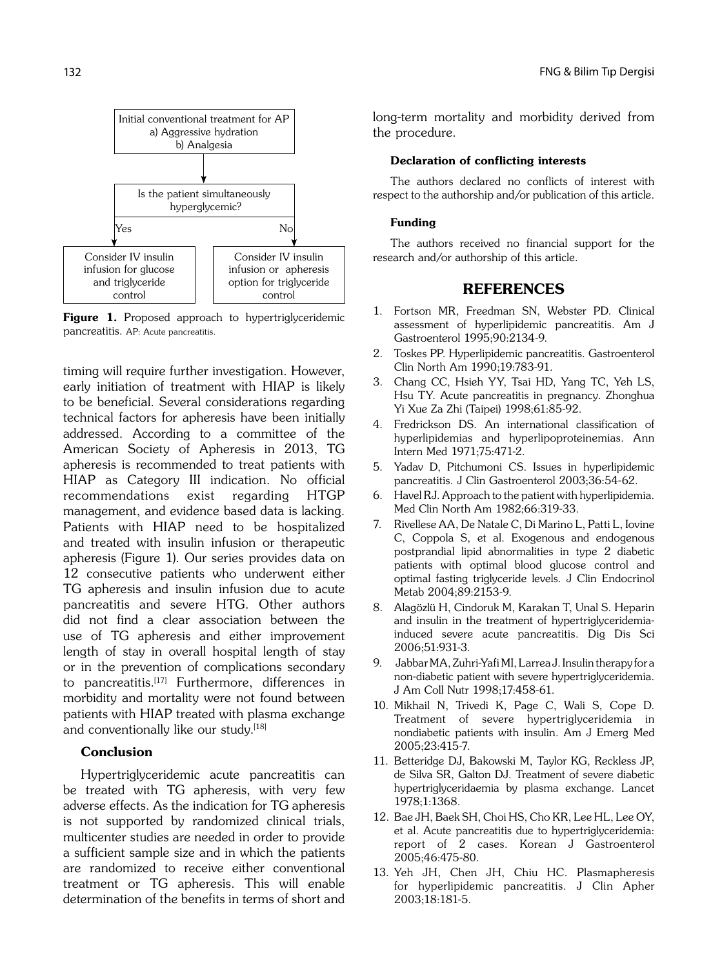

Figure 1. Proposed approach to hypertriglyceridemic pancreatitis. AP: Acute pancreatitis.

timing will require further investigation. However, early initiation of treatment with HIAP is likely to be beneficial. Several considerations regarding technical factors for apheresis have been initially addressed. According to a committee of the American Society of Apheresis in 2013, TG apheresis is recommended to treat patients with HIAP as Category III indication. No official recommendations exist regarding HTGP management, and evidence based data is lacking. Patients with HIAP need to be hospitalized and treated with insulin infusion or therapeutic apheresis (Figure 1). Our series provides data on 12 consecutive patients who underwent either TG apheresis and insulin infusion due to acute pancreatitis and severe HTG. Other authors did not find a clear association between the use of TG apheresis and either improvement length of stay in overall hospital length of stay or in the prevention of complications secondary to pancreatitis.<sup>[17]</sup> Furthermore, differences in morbidity and mortality were not found between patients with HIAP treated with plasma exchange and conventionally like our study.[18]

## Conclusion

Hypertriglyceridemic acute pancreatitis can be treated with TG apheresis, with very few adverse effects. As the indication for TG apheresis is not supported by randomized clinical trials, multicenter studies are needed in order to provide a sufficient sample size and in which the patients are randomized to receive either conventional treatment or TG apheresis. This will enable determination of the benefits in terms of short and long-term mortality and morbidity derived from the procedure.

#### Declaration of conflicting interests

The authors declared no conflicts of interest with respect to the authorship and/or publication of this article.

### Funding

The authors received no financial support for the research and/or authorship of this article.

# REFERENCES

- 1. Fortson MR, Freedman SN, Webster PD. Clinical assessment of hyperlipidemic pancreatitis. Am J Gastroenterol 1995;90:2134-9.
- 2. Toskes PP. Hyperlipidemic pancreatitis. Gastroenterol Clin North Am 1990;19:783-91.
- 3. Chang CC, Hsieh YY, Tsai HD, Yang TC, Yeh LS, Hsu TY. Acute pancreatitis in pregnancy. Zhonghua Yi Xue Za Zhi (Taipei) 1998;61:85-92.
- 4. Fredrickson DS. An international classification of hyperlipidemias and hyperlipoproteinemias. Ann Intern Med 1971;75:471-2.
- 5. Yadav D, Pitchumoni CS. Issues in hyperlipidemic pancreatitis. J Clin Gastroenterol 2003;36:54-62.
- 6. Havel RJ. Approach to the patient with hyperlipidemia. Med Clin North Am 1982;66:319-33.
- 7. Rivellese AA, De Natale C, Di Marino L, Patti L, Iovine C, Coppola S, et al. Exogenous and endogenous postprandial lipid abnormalities in type 2 diabetic patients with optimal blood glucose control and optimal fasting triglyceride levels. J Clin Endocrinol Metab 2004;89:2153-9.
- 8. Alagözlü H, Cindoruk M, Karakan T, Unal S. Heparin and insulin in the treatment of hypertriglyceridemiainduced severe acute pancreatitis. Dig Dis Sci 2006;51:931-3.
- 9. Jabbar MA, Zuhri-Yafi MI, Larrea J. Insulin therapy for a non-diabetic patient with severe hypertriglyceridemia. J Am Coll Nutr 1998;17:458-61.
- 10. Mikhail N, Trivedi K, Page C, Wali S, Cope D. Treatment of severe hypertriglyceridemia in nondiabetic patients with insulin. Am J Emerg Med 2005;23:415-7.
- 11. Betteridge DJ, Bakowski M, Taylor KG, Reckless JP, de Silva SR, Galton DJ. Treatment of severe diabetic hypertriglyceridaemia by plasma exchange. Lancet 1978;1:1368.
- 12. Bae JH, Baek SH, Choi HS, Cho KR, Lee HL, Lee OY, et al. Acute pancreatitis due to hypertriglyceridemia: report of 2 cases. Korean J Gastroenterol 2005;46:475-80.
- 13. Yeh JH, Chen JH, Chiu HC. Plasmapheresis for hyperlipidemic pancreatitis. J Clin Apher 2003;18:181-5.